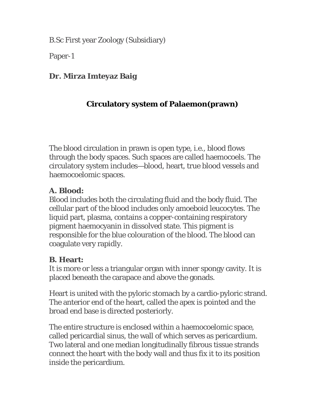B.Sc First year Zoology (Subsidiary)

Paper-1

## **Dr. Mirza Imteyaz Baig**

# **Circulatory system of Palaemon(prawn)**

The blood circulation in prawn is open type, i.e., blood flows through the body spaces. Such spaces are called haemocoels. The circulatory system includes—blood, heart, true blood vessels and haemocoelomic spaces.

#### **A. Blood:**

Blood includes both the circulating fluid and the body fluid. The cellular part of the blood includes only amoeboid leucocytes. The liquid part, plasma, contains a copper-containing respiratory pigment haemocyanin in dissolved state. This pigment is responsible for the blue colouration of the blood. The blood can coagulate very rapidly.

#### **B. Heart:**

It is more or less a triangular organ with inner spongy cavity. It is placed beneath the carapace and above the gonads.

Heart is united with the pyloric stomach by a cardio-pyloric strand. The anterior end of the heart, called the apex is pointed and the broad end base is directed posteriorly.

The entire structure is enclosed within a haemocoelomic space, called pericardial sinus, the wall of which serves as pericardium. Two lateral and one median longitudinally fibrous tissue strands connect the heart with the body wall and thus fix it to its position inside the pericardium.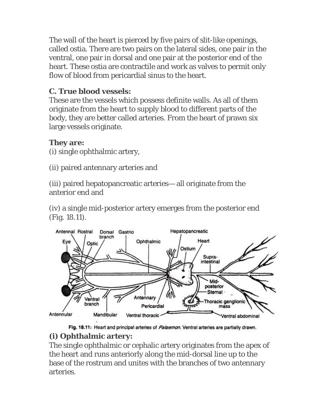The wall of the heart is pierced by five pairs of slit-like openings, called ostia. There are two pairs on the lateral sides, one pair in the ventral, one pair in dorsal and one pair at the posterior end of the heart. These ostia are contractile and work as valves to permit only flow of blood from pericardial sinus to the heart.

## **C. True blood vessels:**

These are the vessels which possess definite walls. As all of them originate from the heart to supply blood to different parts of the body, they are better called arteries. From the heart of prawn six large vessels originate.

#### **They are:**

(i) single ophthalmic artery,

(ii) paired antennary arteries and

(iii) paired hepatopancreatic arteries— all originate from the anterior end and

(iv) a single mid-posterior artery emerges from the posterior end (Fig. 18.11).



Fig. 18.11: Heart and principal arteries of Palaemon. Ventral arteries are partially drawn.

#### **(i) Ophthalmic artery:**

The single ophthalmic or cephalic artery originates from the apex of the heart and runs anteriorly along the mid-dorsal line up to the base of the rostrum and unites with the branches of two antennary arteries.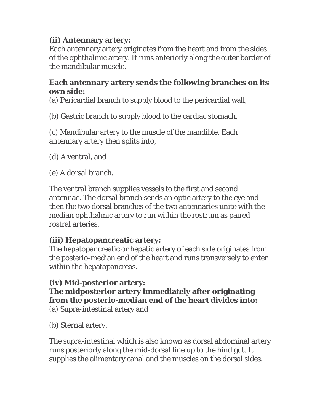### **(ii) Antennary artery:**

Each antennary artery originates from the heart and from the sides of the ophthalmic artery. It runs anteriorly along the outer border of the mandibular muscle.

#### **Each antennary artery sends the following branches on its own side:**

(a) Pericardial branch to supply blood to the pericardial wall,

(b) Gastric branch to supply blood to the cardiac stomach,

(c) Mandibular artery to the muscle of the mandible. Each antennary artery then splits into,

(d) A ventral, and

(e) A dorsal branch.

The ventral branch supplies vessels to the first and second antennae. The dorsal branch sends an optic artery to the eye and then the two dorsal branches of the two antennaries unite with the median ophthalmic artery to run within the rostrum as paired rostral arteries.

#### **(iii) Hepatopancreatic artery:**

The hepatopancreatic or hepatic artery of each side originates from the posterio-median end of the heart and runs transversely to enter within the hepatopancreas.

#### **(iv) Mid-posterior artery: The midposterior artery immediately after originating from the posterio-median end of the heart divides into:** (a) Supra-intestinal artery and

(b) Sternal artery.

The supra-intestinal which is also known as dorsal abdominal artery runs posteriorly along the mid-dorsal line up to the hind gut. It supplies the alimentary canal and the muscles on the dorsal sides.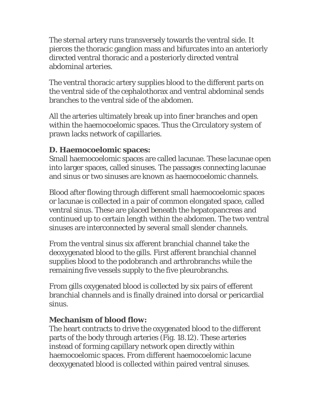The sternal artery runs transversely towards the ventral side. It pierces the thoracic ganglion mass and bifurcates into an anteriorly directed ventral thoracic and a posteriorly directed ventral abdominal arteries.

The ventral thoracic artery supplies blood to the different parts on the ventral side of the cephalothorax and ventral abdominal sends branches to the ventral side of the abdomen.

All the arteries ultimately break up into finer branches and open within the haemocoelomic spaces. Thus the Circulatory system of prawn lacks network of capillaries.

#### **D. Haemocoelomic spaces:**

Small haemocoelomic spaces are called lacunae. These lacunae open into larger spaces, called sinuses. The passages connecting lacunae and sinus or two sinuses are known as haemocoelomic channels.

Blood after flowing through different small haemocoelomic spaces or lacunae is collected in a pair of common elongated space, called ventral sinus. These are placed beneath the hepatopancreas and continued up to certain length within the abdomen. The two ventral sinuses are interconnected by several small slender channels.

From the ventral sinus six afferent branchial channel take the deoxygenated blood to the gills. First afferent branchial channel supplies blood to the podobranch and arthrobranchs while the remaining five vessels supply to the five pleurobranchs.

From gills oxygenated blood is collected by six pairs of efferent branchial channels and is finally drained into dorsal or pericardial sinus.

#### **Mechanism of blood flow:**

The heart contracts to drive the oxygenated blood to the different parts of the body through arteries (Fig. 18.12). These arteries instead of forming capillary network open directly within haemocoelomic spaces. From different haemocoelomic lacune deoxygenated blood is collected within paired ventral sinuses.